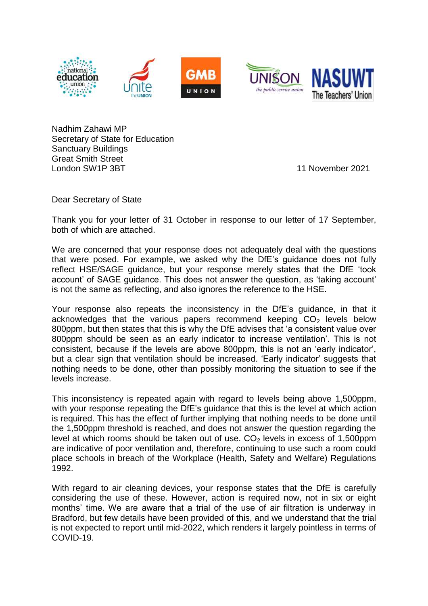

Nadhim Zahawi MP Secretary of State for Education Sanctuary Buildings Great Smith Street London SW1P 3BT 11 November 2021

Dear Secretary of State

Thank you for your letter of 31 October in response to our letter of 17 September, both of which are attached.

We are concerned that your response does not adequately deal with the questions that were posed. For example, we asked why the DfE's guidance does not fully reflect HSE/SAGE guidance, but your response merely states that the DfE 'took account' of SAGE guidance. This does not answer the question, as 'taking account' is not the same as reflecting, and also ignores the reference to the HSE.

Your response also repeats the inconsistency in the DfE's guidance, in that it acknowledges that the various papers recommend keeping  $CO<sub>2</sub>$  levels below 800ppm, but then states that this is why the DfE advises that 'a consistent value over 800ppm should be seen as an early indicator to increase ventilation'. This is not consistent, because if the levels are above 800ppm, this is not an 'early indicator', but a clear sign that ventilation should be increased. 'Early indicator' suggests that nothing needs to be done, other than possibly monitoring the situation to see if the levels increase.

This inconsistency is repeated again with regard to levels being above 1,500ppm, with your response repeating the DfE's guidance that this is the level at which action is required. This has the effect of further implying that nothing needs to be done until the 1,500ppm threshold is reached, and does not answer the question regarding the level at which rooms should be taken out of use.  $CO<sub>2</sub>$  levels in excess of 1.500ppm are indicative of poor ventilation and, therefore, continuing to use such a room could place schools in breach of the Workplace (Health, Safety and Welfare) Regulations 1992.

With regard to air cleaning devices, your response states that the DfE is carefully considering the use of these. However, action is required now, not in six or eight months' time. We are aware that a trial of the use of air filtration is underway in Bradford, but few details have been provided of this, and we understand that the trial is not expected to report until mid-2022, which renders it largely pointless in terms of COVID-19.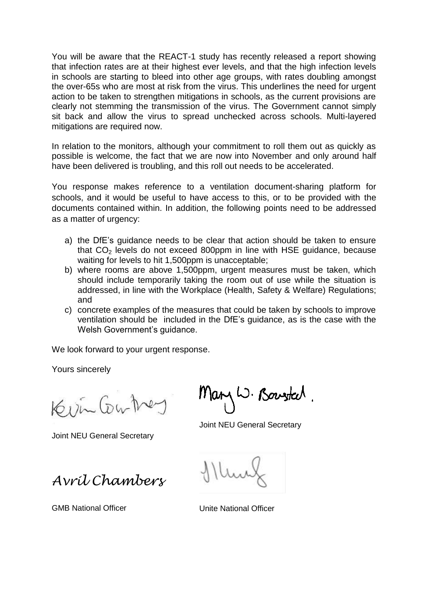You will be aware that the REACT-1 study has recently released a report showing that infection rates are at their highest ever levels, and that the high infection levels in schools are starting to bleed into other age groups, with rates doubling amongst the over-65s who are most at risk from the virus. This underlines the need for urgent action to be taken to strengthen mitigations in schools, as the current provisions are clearly not stemming the transmission of the virus. The Government cannot simply sit back and allow the virus to spread unchecked across schools. Multi-layered mitigations are required now.

In relation to the monitors, although your commitment to roll them out as quickly as possible is welcome, the fact that we are now into November and only around half have been delivered is troubling, and this roll out needs to be accelerated.

You response makes reference to a ventilation document-sharing platform for schools, and it would be useful to have access to this, or to be provided with the documents contained within. In addition, the following points need to be addressed as a matter of urgency:

- a) the DfE's guidance needs to be clear that action should be taken to ensure that  $CO<sub>2</sub>$  levels do not exceed 800ppm in line with HSE guidance, because waiting for levels to hit 1,500ppm is unacceptable;
- b) where rooms are above 1,500ppm, urgent measures must be taken, which should include temporarily taking the room out of use while the situation is addressed, in line with the Workplace (Health, Safety & Welfare) Regulations; and
- c) concrete examples of the measures that could be taken by schools to improve ventilation should be included in the DfE's guidance, as is the case with the Welsh Government's quidance.

We look forward to your urgent response.

Yours sincerely

Kevin Contre

Joint NEU General Secretary

Mary W. Bouster.

Joint NEU General Secretary

*Avril Chambers*

GMB National Officer **National Officer** Unite National Officer